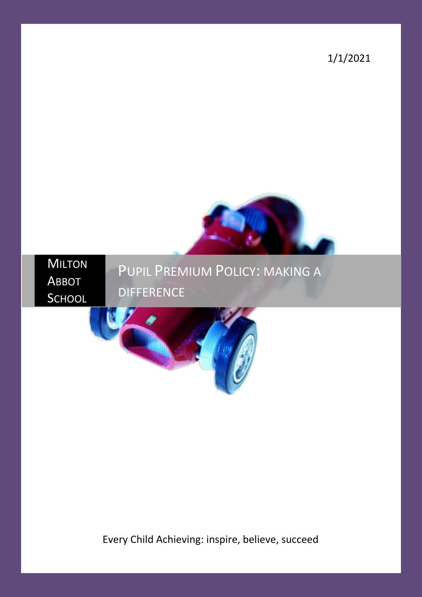1/1/2021



# PUPIL PREMIUM POLICY: MAKING A **DIFFERENCE**



Every Child Achieving: inspire, believe, succeed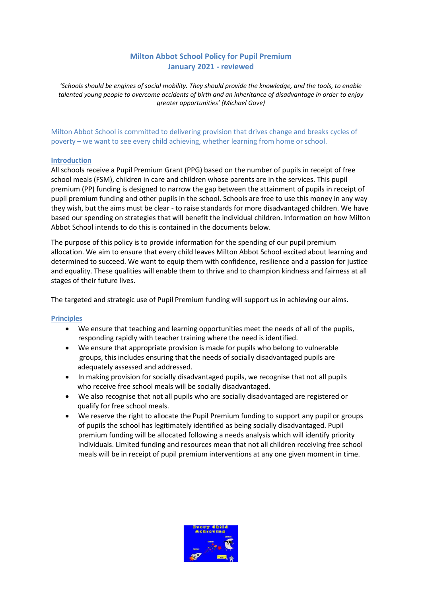# **Milton Abbot School Policy for Pupil Premium January 2021 - reviewed**

*'Schools should be engines of social mobility. They should provide the knowledge, and the tools, to enable talented young people to overcome accidents of birth and an inheritance of disadvantage in order to enjoy greater opportunities' (Michael Gove)*

Milton Abbot School is committed to delivering provision that drives change and breaks cycles of poverty – we want to see every child achieving, whether learning from home or school.

### **Introduction**

All schools receive a Pupil Premium Grant (PPG) based on the number of pupils in receipt of free school meals (FSM), children in care and children whose parents are in the services. This pupil premium (PP) funding is designed to narrow the gap between the attainment of pupils in receipt of pupil premium funding and other pupils in the school. Schools are free to use this money in any way they wish, but the aims must be clear - to raise standards for more disadvantaged children. We have based our spending on strategies that will benefit the individual children. Information on how Milton Abbot School intends to do this is contained in the documents below.

The purpose of this policy is to provide information for the spending of our pupil premium allocation. We aim to ensure that every child leaves Milton Abbot School excited about learning and determined to succeed. We want to equip them with confidence, resilience and a passion for justice and equality. These qualities will enable them to thrive and to champion kindness and fairness at all stages of their future lives.

The targeted and strategic use of Pupil Premium funding will support us in achieving our aims.

#### **Principles**

- We ensure that teaching and learning opportunities meet the needs of all of the pupils, responding rapidly with teacher training where the need is identified.
- We ensure that appropriate provision is made for pupils who belong to vulnerable groups, this includes ensuring that the needs of socially disadvantaged pupils are adequately assessed and addressed.
- In making provision for socially disadvantaged pupils, we recognise that not all pupils who receive free school meals will be socially disadvantaged.
- We also recognise that not all pupils who are socially disadvantaged are registered or qualify for free school meals.
- We reserve the right to allocate the Pupil Premium funding to support any pupil or groups of pupils the school has legitimately identified as being socially disadvantaged. Pupil premium funding will be allocated following a needs analysis which will identify priority individuals. Limited funding and resources mean that not all children receiving free school meals will be in receipt of pupil premium interventions at any one given moment in time.

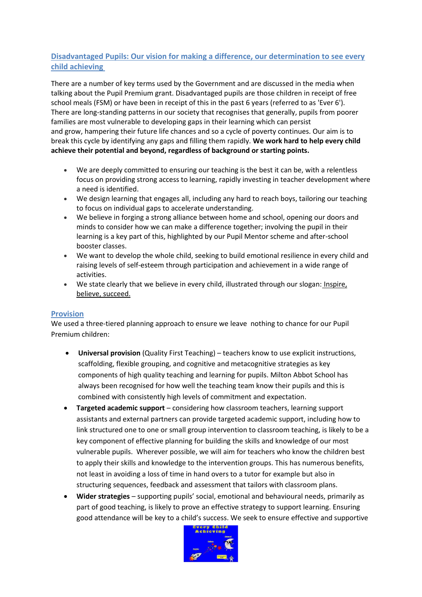# **Disadvantaged Pupils: Our vision for making a difference, our determination to see every child achieving**

There are a number of key terms used by the Government and are discussed in the media when talking about the Pupil Premium grant. Disadvantaged pupils are those children in receipt of free school meals (FSM) or have been in receipt of this in the past 6 years (referred to as 'Ever 6'). There are long-standing patterns in our society that recognises that generally, pupils from poorer families are most vulnerable to developing gaps in their learning which can persist and grow, hampering their future life chances and so a cycle of poverty continues. Our aim is to break this cycle by identifying any gaps and filling them rapidly. **We work hard to help every child achieve their potential and beyond, regardless of background or starting points.** 

- We are deeply committed to ensuring our teaching is the best it can be, with a relentless focus on providing strong access to learning, rapidly investing in teacher development where a need is identified.
- We design learning that engages all, including any hard to reach boys, tailoring our teaching to focus on individual gaps to accelerate understanding.
- We believe in forging a strong alliance between home and school, opening our doors and minds to consider how we can make a difference together; involving the pupil in their learning is a key part of this, highlighted by our Pupil Mentor scheme and after-school booster classes.
- We want to develop the whole child, seeking to build emotional resilience in every child and raising levels of self-esteem through participation and achievement in a wide range of activities.
- We state clearly that we believe in every child, illustrated through our slogan: Inspire, believe, succeed.

# **Provision**

We used a three-tiered planning approach to ensure we leave nothing to chance for our Pupil Premium children:

- **Universal provision** (Quality First Teaching) teachers know to use explicit instructions, scaffolding, flexible grouping, and cognitive and metacognitive strategies as key components of high quality teaching and learning for pupils. Milton Abbot School has always been recognised for how well the teaching team know their pupils and this is combined with consistently high levels of commitment and expectation.
- **Targeted academic support** considering how classroom teachers, learning support assistants and external partners can provide targeted academic support, including how to link structured one to one or small group intervention to classroom teaching, is likely to be a key component of effective planning for building the skills and knowledge of our most vulnerable pupils. Wherever possible, we will aim for teachers who know the children best to apply their skills and knowledge to the intervention groups. This has numerous benefits, not least in avoiding a loss of time in hand overs to a tutor for example but also in structuring sequences, feedback and assessment that tailors with classroom plans.
- **Wider strategies** supporting pupils' social, emotional and behavioural needs, primarily as part of good teaching, is likely to prove an effective strategy to support learning. Ensuring good attendance will be key to a child's success. We seek to ensure effective and supportive

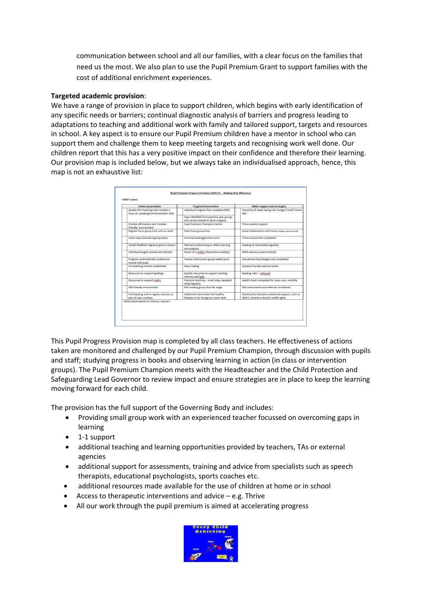communication between school and all our families, with a clear focus on the families that need us the most. We also plan to use the Pupil Premium Grant to support families with the cost of additional enrichment experiences.

## **Targeted academic provision**:

We have a range of provision in place to support children, which begins with early identification of any specific needs or barriers; continual diagnostic analysis of barriers and progress leading to adaptations to teaching and additional work with family and tailored support, targets and resources in school. A key aspect is to ensure our Pupil Premium children have a mentor in school who can support them and challenge them to keep meeting targets and recognising work well done. Our children report that this has a very positive impact on their confidence and therefore their learning. Our provision map is included below, but we always take an individualised approach, hence, this map is not an exhaustive list:

| <b>Universal provision</b>                                                       | <b>Targeted intervention</b>                                                     | Wider support and strategies                                                                 |
|----------------------------------------------------------------------------------|----------------------------------------------------------------------------------|----------------------------------------------------------------------------------------------|
| Quality first teaching that includes a<br>focus on speaking/communication skills | Individual Progress Plan complete (SEN)                                          | Hierarchy of needs being met: hungry? tired? Home<br>life?                                   |
|                                                                                  | Gaps identified from previous year groups<br>and can be tracked to show progress |                                                                                              |
| Positive affirmation and 'mistake<br>friendly' environment                       | Pupil Premium Champion mentor                                                    | Thrive weekly support                                                                        |
| Regular focus group time with an adult                                           | Daily focus group time                                                           | Good collaboration with home-targets set/reviewed                                            |
| Small steps planned appropriately                                                | Personal reading/phonics tutor                                                   | Thrive assessment completed                                                                  |
| Verbal feedback regularly given in lesson                                        | Planned conferencing to reflect learning<br>and progress                         | Reading at home daily/regularly                                                              |
| Individual targets shared and checked                                            | Power of 2 maths intervention (weekly)                                           | SEMH advisory team involved                                                                  |
| Progress systematically tracked and<br>shared with pupil                         | Teacher led booster group weekly (pm)                                            | Educational Psychologist visit completed                                                     |
| Pre-teaching routine established                                                 | Daily reading                                                                    | Dyslexia friendly exercise books                                                             |
| Resources to support spellings                                                   | Specific resources to support working<br>memory and Spld                         | Reading ruler - coloured                                                                     |
| Resources to support maths                                                       | Precision teaching - small steps repeated<br>daily/regularly                     | Health check completed for: eves, ears, mobility                                             |
| SEN friendly environment                                                         | RWI reading group that fits stage                                                | SEN assessments and referrals considered                                                     |
| Participating well in regular exercise as<br>part of class routines              | Additional intervention for healthy<br>lifestyle or for fine/gross motor skills  | Relationship Education additional support, such as<br>NSPCC scheme or Brook's traffic lights |
| Notes/observations of child as a learner:                                        |                                                                                  |                                                                                              |

This Pupil Progress Provision map is completed by all class teachers. He effectiveness of actions taken are monitored and challenged by our Pupil Premium Champion, through discussion with pupils and staff; studying progress in books and observing learning in action (in class or intervention groups). The Pupil Premium Champion meets with the Headteacher and the Child Protection and Safeguarding Lead Governor to review impact and ensure strategies are in place to keep the learning moving forward for each child.

The provision has the full support of the Governing Body and includes:

- Providing small group work with an experienced teacher focussed on overcoming gaps in learning
- 1-1 support
- additional teaching and learning opportunities provided by teachers, TAs or external agencies
- additional support for assessments, training and advice from specialists such as speech therapists, educational psychologists, sports coaches etc.
- additional resources made available for the use of children at home or in school
- Access to therapeutic interventions and advice  $-$  e.g. Thrive
- All our work through the pupil premium is aimed at accelerating progress